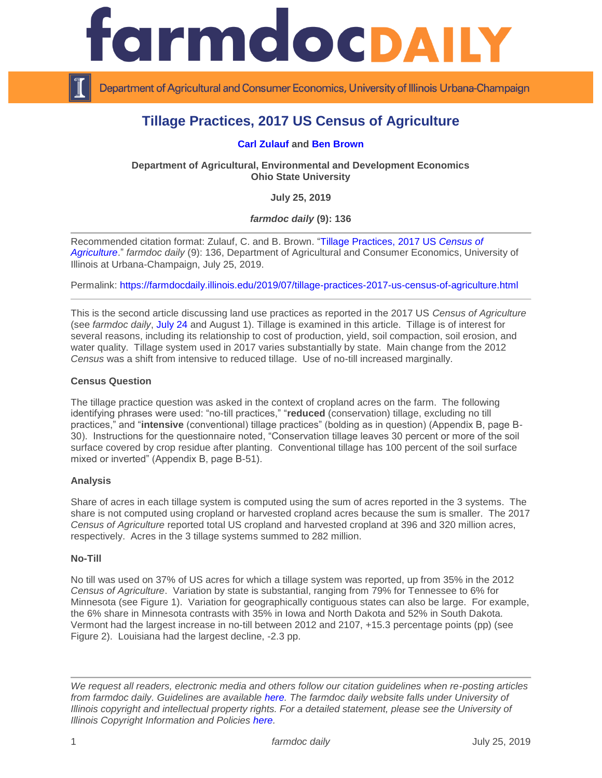

Department of Agricultural and Consumer Economics, University of Illinois Urbana-Champaign

# **Tillage Practices, 2017 US Census of Agriculture**

### **[Carl Zulauf](http://aede.osu.edu/our-people/carl-zulauf) and [Ben Brown](https://aede.osu.edu/our-people/ben-brown)**

**Department of Agricultural, Environmental and Development Economics Ohio State University**

**July 25, 2019**

*farmdoc daily* **(9): 136**

Recommended citation format: Zulauf, C. and B. Brown. ["Tillage Practices, 2017 US](https://farmdocdaily.illinois.edu/2019/07/tillage-practices-2017-us-census-of-agriculture.html) *Census of [Agriculture](https://farmdocdaily.illinois.edu/2019/07/tillage-practices-2017-us-census-of-agriculture.html)*." *farmdoc daily* (9): 136, Department of Agricultural and Consumer Economics, University of Illinois at Urbana-Champaign, July 25, 2019.

Permalink:<https://farmdocdaily.illinois.edu/2019/07/tillage-practices-2017-us-census-of-agriculture.html>

This is the second article discussing land use practices as reported in the 2017 US *Census of Agriculture* (see *farmdoc daily*, [July 24](https://farmdocdaily.illinois.edu/2019/07/cover-crops-2017-us-census-of-agriculture.html) and August 1). Tillage is examined in this article. Tillage is of interest for several reasons, including its relationship to cost of production, yield, soil compaction, soil erosion, and water quality. Tillage system used in 2017 varies substantially by state. Main change from the 2012 *Census* was a shift from intensive to reduced tillage. Use of no-till increased marginally.

#### **Census Question**

The tillage practice question was asked in the context of cropland acres on the farm. The following identifying phrases were used: "no-till practices," "**reduced** (conservation) tillage, excluding no till practices," and "**intensive** (conventional) tillage practices" (bolding as in question) (Appendix B, page B-30). Instructions for the questionnaire noted, "Conservation tillage leaves 30 percent or more of the soil surface covered by crop residue after planting. Conventional tillage has 100 percent of the soil surface mixed or inverted" (Appendix B, page B-51).

#### **Analysis**

Share of acres in each tillage system is computed using the sum of acres reported in the 3 systems. The share is not computed using cropland or harvested cropland acres because the sum is smaller. The 2017 *Census of Agriculture* reported total US cropland and harvested cropland at 396 and 320 million acres, respectively. Acres in the 3 tillage systems summed to 282 million.

#### **No-Till**

No till was used on 37% of US acres for which a tillage system was reported, up from 35% in the 2012 *Census of Agriculture*. Variation by state is substantial, ranging from 79% for Tennessee to 6% for Minnesota (see Figure 1). Variation for geographically contiguous states can also be large. For example, the 6% share in Minnesota contrasts with 35% in Iowa and North Dakota and 52% in South Dakota. Vermont had the largest increase in no-till between 2012 and 2107, +15.3 percentage points (pp) (see Figure 2). Louisiana had the largest decline, -2.3 pp.

*We request all readers, electronic media and others follow our citation guidelines when re-posting articles from farmdoc daily. Guidelines are available [here.](http://farmdocdaily.illinois.edu/citationguide.html) The farmdoc daily website falls under University of Illinois copyright and intellectual property rights. For a detailed statement, please see the University of Illinois Copyright Information and Policies [here.](http://www.cio.illinois.edu/policies/copyright/)*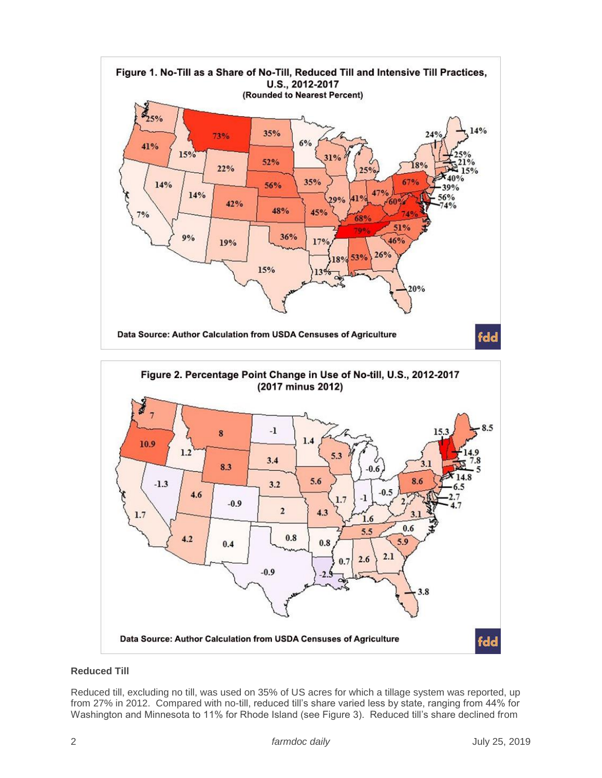

# **Reduced Till**

Reduced till, excluding no till, was used on 35% of US acres for which a tillage system was reported, up from 27% in 2012. Compared with no-till, reduced till's share varied less by state, ranging from 44% for Washington and Minnesota to 11% for Rhode Island (see Figure 3). Reduced till's share declined from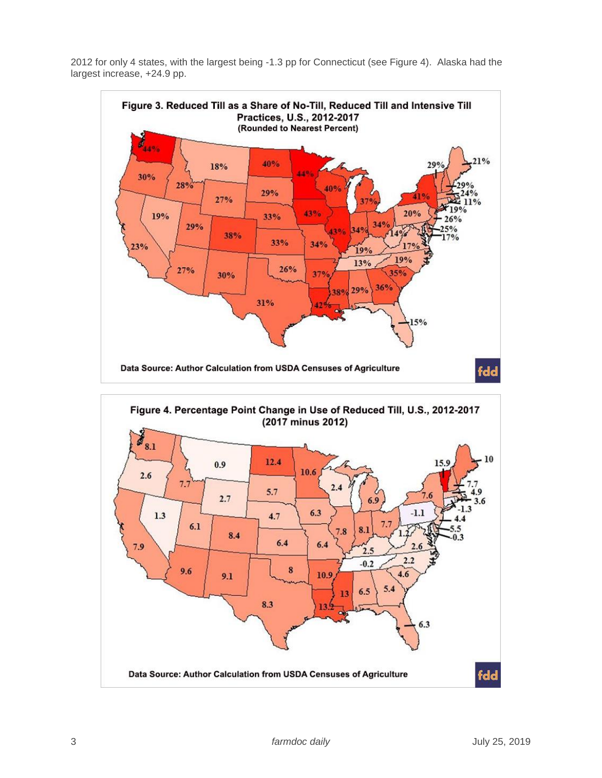2012 for only 4 states, with the largest being -1.3 pp for Connecticut (see Figure 4). Alaska had the largest increase, +24.9 pp.



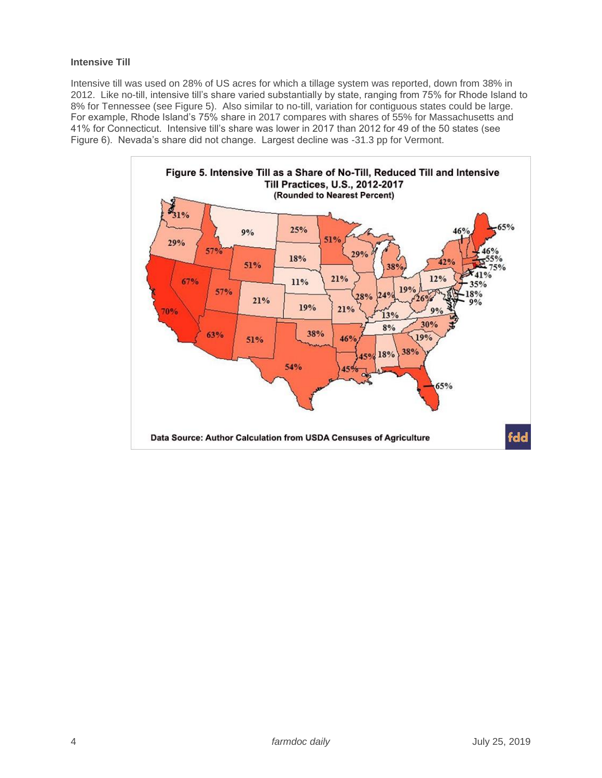# **Intensive Till**

Intensive till was used on 28% of US acres for which a tillage system was reported, down from 38% in 2012. Like no-till, intensive till's share varied substantially by state, ranging from 75% for Rhode Island to 8% for Tennessee (see Figure 5). Also similar to no-till, variation for contiguous states could be large. For example, Rhode Island's 75% share in 2017 compares with shares of 55% for Massachusetts and 41% for Connecticut. Intensive till's share was lower in 2017 than 2012 for 49 of the 50 states (see Figure 6). Nevada's share did not change. Largest decline was -31.3 pp for Vermont.